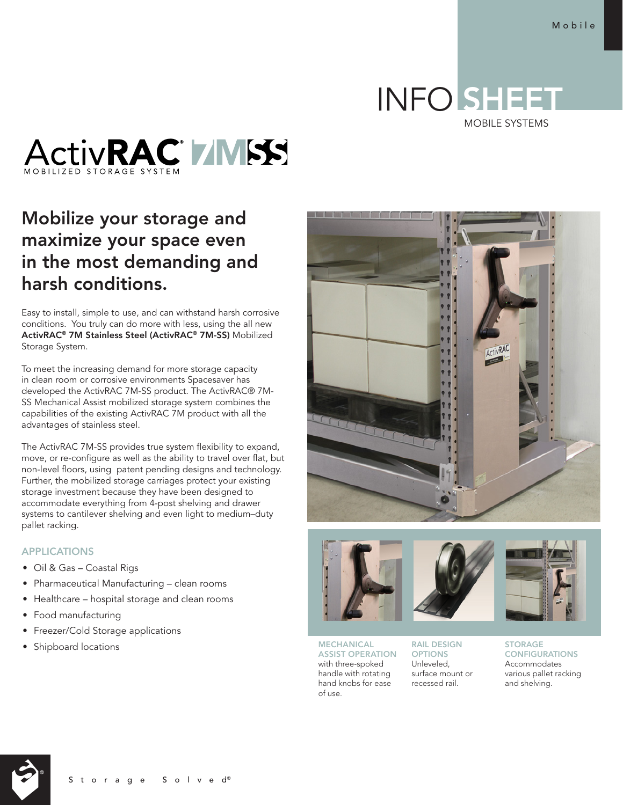## INFO SHEET

MOBILE SYSTEMS



## Mobilize your storage and maximize your space even in the most demanding and harsh conditions.

Easy to install, simple to use, and can withstand harsh corrosive conditions. You truly can do more with less, using the all new ActivRAC® 7M Stainless Steel (ActivRAC® 7M-SS) Mobilized Storage System.

To meet the increasing demand for more storage capacity in clean room or corrosive environments Spacesaver has developed the ActivRAC 7M-SS product. The ActivRAC® 7M-SS Mechanical Assist mobilized storage system combines the capabilities of the existing ActivRAC 7M product with all the advantages of stainless steel.

The ActivRAC 7M-SS provides true system flexibility to expand, move, or re-configure as well as the ability to travel over flat, but non-level floors, using patent pending designs and technology. Further, the mobilized storage carriages protect your existing storage investment because they have been designed to accommodate everything from 4-post shelving and drawer systems to cantilever shelving and even light to medium–duty pallet racking.

## APPLICATIONS

- Oil & Gas Coastal Rigs
- Pharmaceutical Manufacturing clean rooms
- Healthcare hospital storage and clean rooms
- Food manufacturing
- Freezer/Cold Storage applications
- Shipboard locations





MECHANICAL ASSIST OPERATION with three-spoked handle with rotating hand knobs for ease of use.

RAIL DESIGN **OPTIONS** Unleveled, surface mount or recessed rail.



STORAGE **CONFIGURATIONS** Accommodates various pallet racking and shelving.